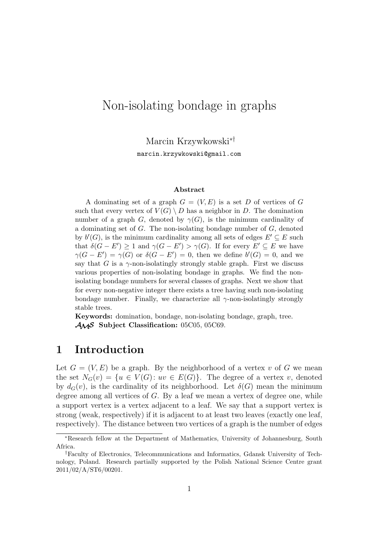# Non-isolating bondage in graphs

Marcin Krzywkowski∗†

marcin.krzywkowski@gmail.com

#### **Abstract**

A dominating set of a graph  $G = (V, E)$  is a set D of vertices of G such that every vertex of  $V(G) \setminus D$  has a neighbor in D. The domination number of a graph G, denoted by  $\gamma(G)$ , is the minimum cardinality of a dominating set of  $G$ . The non-isolating bondage number of  $G$ , denoted by  $b'(G)$ , is the minimum cardinality among all sets of edges  $E' \subseteq E$  such that  $\delta(G - E') \geq 1$  and  $\gamma(G - E') > \gamma(G)$ . If for every  $E' \subseteq E$  we have  $\gamma(G - E') = \gamma(G)$  or  $\delta(G - E') = 0$ , then we define  $b'(G) = 0$ , and we say that G is a  $\gamma$ -non-isolatingly strongly stable graph. First we discuss various properties of non-isolating bondage in graphs. We find the nonisolating bondage numbers for several classes of graphs. Next we show that for every non-negative integer there exists a tree having such non-isolating bondage number. Finally, we characterize all  $\gamma$ -non-isolatingly strongly stable trees.

**Keywords:** domination, bondage, non-isolating bondage, graph, tree. AMS **Subject Classification:** 05C05, 05C69.

#### **1 Introduction**

Let  $G = (V, E)$  be a graph. By the neighborhood of a vertex v of G we mean the set  $N_G(v) = \{u \in V(G): uv \in E(G)\}.$  The degree of a vertex v, denoted by  $d_G(v)$ , is the cardinality of its neighborhood. Let  $\delta(G)$  mean the minimum degree among all vertices of  $G$ . By a leaf we mean a vertex of degree one, while a support vertex is a vertex adjacent to a leaf. We say that a support vertex is strong (weak, respectively) if it is adjacent to at least two leaves (exactly one leaf, respectively). The distance between two vertices of a graph is the number of edges

<sup>∗</sup>Research fellow at the Department of Mathematics, University of Johannesburg, South Africa.

<sup>†</sup>Faculty of Electronics, Telecommunications and Informatics, Gdansk University of Technology, Poland. Research partially supported by the Polish National Science Centre grant 2011/02/A/ST6/00201.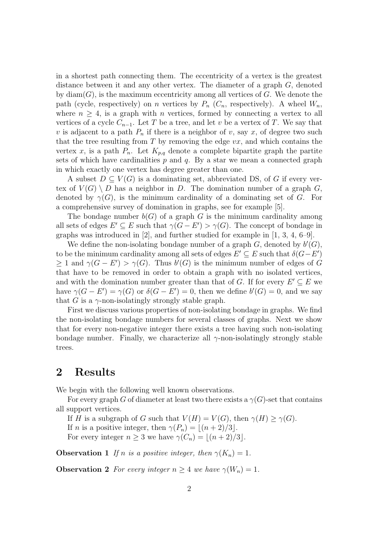in a shortest path connecting them. The eccentricity of a vertex is the greatest distance between it and any other vertex. The diameter of a graph G, denoted by  $\text{diam}(G)$ , is the maximum eccentricity among all vertices of G. We denote the path (cycle, respectively) on n vertices by  $P_n$  ( $C_n$ , respectively). A wheel  $W_n$ , where  $n \geq 4$ , is a graph with *n* vertices, formed by connecting a vertex to all vertices of a cycle  $C_{n-1}$ . Let T be a tree, and let v be a vertex of T. We say that v is adjacent to a path  $P_n$  if there is a neighbor of v, say x, of degree two such that the tree resulting from  $T$  by removing the edge  $vx$ , and which contains the vertex x, is a path  $P_n$ . Let  $K_{p,q}$  denote a complete bipartite graph the partite sets of which have cardinalities  $p$  and  $q$ . By a star we mean a connected graph in which exactly one vertex has degree greater than one.

A subset  $D \subseteq V(G)$  is a dominating set, abbreviated DS, of G if every vertex of  $V(G) \setminus D$  has a neighbor in D. The domination number of a graph G, denoted by  $\gamma(G)$ , is the minimum cardinality of a dominating set of G. For a comprehensive survey of domination in graphs, see for example [5].

The bondage number  $b(G)$  of a graph G is the minimum cardinality among all sets of edges  $E' \subseteq E$  such that  $\gamma(G - E') > \gamma(G)$ . The concept of bondage in graphs was introduced in  $[2]$ , and further studied for example in  $[1, 3, 4, 6-9]$ .

We define the non-isolating bondage number of a graph  $G$ , denoted by  $b'(G)$ , to be the minimum cardinality among all sets of edges  $E' \subseteq E$  such that  $\delta(G - E')$  $\geq 1$  and  $\gamma(G - E') > \gamma(G)$ . Thus  $b'(G)$  is the minimum number of edges of G that have to be removed in order to obtain a graph with no isolated vertices, and with the domination number greater than that of G. If for every  $E' \subseteq E$  we have  $\gamma(G - E') = \gamma(G)$  or  $\delta(G - E') = 0$ , then we define  $b'(G) = 0$ , and we say that G is a  $\gamma$ -non-isolatingly strongly stable graph.

First we discuss various properties of non-isolating bondage in graphs. We find the non-isolating bondage numbers for several classes of graphs. Next we show that for every non-negative integer there exists a tree having such non-isolating bondage number. Finally, we characterize all  $\gamma$ -non-isolatingly strongly stable trees.

### **2 Results**

We begin with the following well known observations.

For every graph G of diameter at least two there exists a  $\gamma(G)$ -set that contains all support vertices.

If H is a subgraph of G such that  $V(H) = V(G)$ , then  $\gamma(H) \geq \gamma(G)$ . If *n* is a positive integer, then  $\gamma(P_n) = |(n+2)/3|$ . For every integer  $n \geq 3$  we have  $\gamma(C_n) = |(n+2)/3|$ .

**Observation 1** *If n is a positive integer, then*  $\gamma(K_n) = 1$ *.* 

**Observation 2** *For every integer*  $n \geq 4$  *we have*  $\gamma(W_n) = 1$ *.*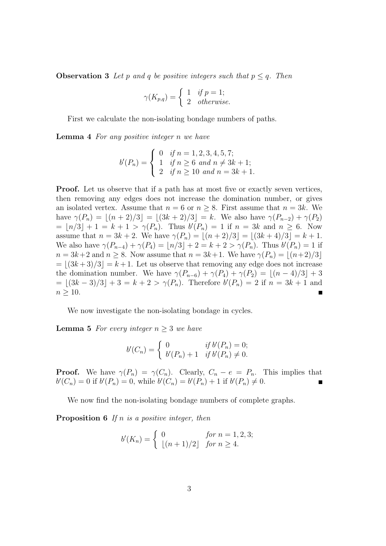**Observation 3** *Let* p and q *be positive integers such that*  $p \leq q$ *. Then* 

$$
\gamma(K_{p,q}) = \begin{cases} 1 & \text{if } p = 1; \\ 2 & \text{otherwise.} \end{cases}
$$

First we calculate the non-isolating bondage numbers of paths.

**Lemma 4** *For any positive integer* n *we have*

$$
b'(P_n) = \begin{cases} 0 & \text{if } n = 1, 2, 3, 4, 5, 7; \\ 1 & \text{if } n \ge 6 \text{ and } n \ne 3k + 1; \\ 2 & \text{if } n \ge 10 \text{ and } n = 3k + 1. \end{cases}
$$

**Proof.** Let us observe that if a path has at most five or exactly seven vertices, then removing any edges does not increase the domination number, or gives an isolated vertex. Assume that  $n = 6$  or  $n \geq 8$ . First assume that  $n = 3k$ . We have  $\gamma(P_n) = |(n+2)/3| = |(3k+2)/3| = k$ . We also have  $\gamma(P_{n-2}) + \gamma(P_2)$  $= \lfloor n/3 \rfloor + 1 = k + 1 > \gamma(P_n)$ . Thus  $b(P_n) = 1$  if  $n = 3k$  and  $n \ge 6$ . Now assume that  $n = 3k + 2$ . We have  $\gamma(P_n) = |(n+2)/3| = |(3k+4)/3| = k+1$ . We also have  $\gamma(P_{n-4}) + \gamma(P_4) = \lfloor n/3 \rfloor + 2 = k + 2 > \gamma(P_n)$ . Thus  $b'(P_n) = 1$  if  $n = 3k+2$  and  $n \geq 8$ . Now assume that  $n = 3k+1$ . We have  $\gamma(P_n) = |(n+2)/3|$  $= \lfloor (3k+3)/3 \rfloor = k+1$ . Let us observe that removing any edge does not increase the domination number. We have  $\gamma(P_{n-6}) + \gamma(P_4) + \gamma(P_2) = |(n-4)/3| + 3$  $= \lfloor (3k-3)/3 \rfloor + 3 = k + 2 > \gamma(P_n)$ . Therefore  $b'(P_n) = 2$  if  $n = 3k + 1$  and  $n \geq 10$ .

We now investigate the non-isolating bondage in cycles.

**Lemma 5** *For every integer*  $n \geq 3$  *we have* 

$$
b'(C_n) = \begin{cases} 0 & \text{if } b'(P_n) = 0; \\ b'(P_n) + 1 & \text{if } b'(P_n) \neq 0. \end{cases}
$$

**Proof.** We have  $\gamma(P_n) = \gamma(C_n)$ . Clearly,  $C_n - e = P_n$ . This implies that  $b'(C_n) = 0$  if  $b'(P_n) = 0$ , while  $b'(C_n) = b'(P_n) + 1$  if  $b'(P_n) \neq 0$ .

We now find the non-isolating bondage numbers of complete graphs.

**Proposition 6** *If* n *is a positive integer, then*

$$
b'(K_n) = \begin{cases} 0 & \text{for } n = 1, 2, 3; \\ \lfloor (n+1)/2 \rfloor & \text{for } n \ge 4. \end{cases}
$$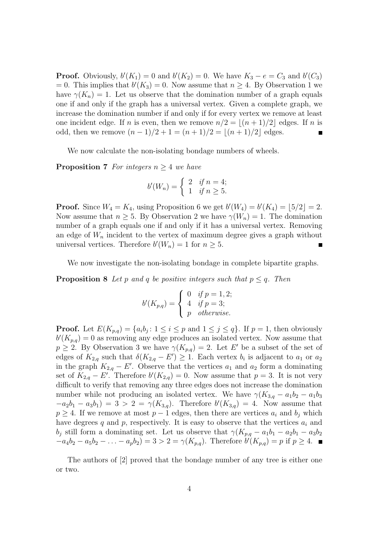**Proof.** Obviously,  $b'(K_1) = 0$  and  $b'(K_2) = 0$ . We have  $K_3 - e = C_3$  and  $b'(C_3)$ = 0. This implies that  $b'(K_3) = 0$ . Now assume that  $n \geq 4$ . By Observation 1 we have  $\gamma(K_n) = 1$ . Let us observe that the domination number of a graph equals one if and only if the graph has a universal vertex. Given a complete graph, we increase the domination number if and only if for every vertex we remove at least one incident edge. If n is even, then we remove  $n/2 = |(n+1)/2|$  edges. If n is odd, then we remove  $(n-1)/2 + 1 = (n+1)/2 = |(n+1)/2|$  edges.

We now calculate the non-isolating bondage numbers of wheels.

**Proposition 7** *For integers* n ≥ 4 *we have*

$$
b'(W_n) = \begin{cases} 2 & \text{if } n = 4; \\ 1 & \text{if } n \ge 5. \end{cases}
$$

**Proof.** Since  $W_4 = K_4$ , using Proposition 6 we get  $b'(W_4) = b'(K_4) = [5/2] = 2$ . Now assume that  $n \geq 5$ . By Observation 2 we have  $\gamma(W_n) = 1$ . The domination number of a graph equals one if and only if it has a universal vertex. Removing an edge of  $W_n$  incident to the vertex of maximum degree gives a graph without universal vertices. Therefore  $b'(W_n) = 1$  for  $n \geq 5$ .

We now investigate the non-isolating bondage in complete bipartite graphs.

**Proposition 8** *Let* p and q be positive integers such that  $p \leq q$ . Then

$$
b'(K_{p,q}) = \begin{cases} 0 & \text{if } p = 1,2; \\ 4 & \text{if } p = 3; \\ p & \text{otherwise.} \end{cases}
$$

**Proof.** Let  $E(K_{p,q}) = \{a_i b_j : 1 \le i \le p \text{ and } 1 \le j \le q\}$ . If  $p = 1$ , then obviously  $b'(K_{p,q}) = 0$  as removing any edge produces an isolated vertex. Now assume that  $p \geq 2$ . By Observation 3 we have  $\gamma(K_{p,q}) = 2$ . Let E' be a subset of the set of edges of  $K_{2,q}$  such that  $\delta(K_{2,q} - E') \geq 1$ . Each vertex  $b_i$  is adjacent to  $a_1$  or  $a_2$ in the graph  $K_{2,q} - E'$ . Observe that the vertices  $a_1$  and  $a_2$  form a dominating set of  $K_{2,q} - E'$ . Therefore  $b'(K_{2,q}) = 0$ . Now assume that  $p = 3$ . It is not very difficult to verify that removing any three edges does not increase the domination number while not producing an isolated vertex. We have  $\gamma(K_{3,q} - a_1b_2 - a_1b_3)$  $-a_2b_1 - a_3b_1 = 3 > 2 = \gamma(K_{3,q})$ . Therefore  $b'(K_{3,q}) = 4$ . Now assume that  $p \geq 4$ . If we remove at most  $p-1$  edges, then there are vertices  $a_i$  and  $b_j$  which have degrees q and p, respectively. It is easy to observe that the vertices  $a_i$  and b<sub>j</sub> still form a dominating set. Let us observe that  $\gamma(K_{p,q} - a_1b_1 - a_2b_1 - a_3b_2)$  $-a_4b_2 - a_5b_2 - \ldots - a_pb_2 = 3 > 2 = \gamma(K_{p,q})$ . Therefore  $b'(K_{p,q}) = p$  if  $p \ge 4$ .

The authors of [2] proved that the bondage number of any tree is either one or two.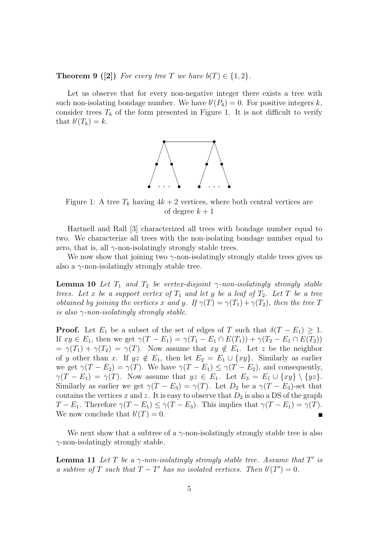**Theorem 9 ([2])** For every tree T we have  $b(T) \in \{1, 2\}$ .

Let us observe that for every non-negative integer there exists a tree with such non-isolating bondage number. We have  $b'(P_4) = 0$ . For positive integers k, consider trees  $T_k$  of the form presented in Figure 1. It is not difficult to verify that  $b'(T_k) = k$ .



Figure 1: A tree  $T_k$  having  $4k + 2$  vertices, where both central vertices are of degree  $k + 1$ 

Hartnell and Rall [3] characterized all trees with bondage number equal to two. We characterize all trees with the non-isolating bondage number equal to zero, that is, all  $\gamma$ -non-isolatingly strongly stable trees.

We now show that joining two  $\gamma$ -non-isolatingly strongly stable trees gives us also a  $\gamma$ -non-isolatingly strongly stable tree.

**Lemma 10** *Let*  $T_1$  *and*  $T_2$  *be vertex-disjoint*  $\gamma$ *-non-isolatingly strongly stable trees. Let* x *be a support vertex of*  $T_1$  *and let* y *be a leaf of*  $T_2$ *. Let* T *be a tree obtained by joining the vertices* x and y. If  $\gamma(T) = \gamma(T_1) + \gamma(T_2)$ , then the tree T *is also* γ*-non-isolatingly strongly stable.*

**Proof.** Let  $E_1$  be a subset of the set of edges of T such that  $\delta(T - E_1) \geq 1$ . If  $xy \in E_1$ , then we get  $\gamma(T - E_1) = \gamma(T_1 - E_1 \cap E(T_1)) + \gamma(T_2 - E_1 \cap E(T_2))$  $=\gamma(T_1) + \gamma(T_2) = \gamma(T)$ . Now assume that  $xy \notin E_1$ . Let z be the neighbor of y other than x. If  $yz \notin E_1$ , then let  $E_2 = E_1 \cup \{xy\}$ . Similarly as earlier we get  $\gamma(T - E_2) = \gamma(T)$ . We have  $\gamma(T - E_1) \leq \gamma(T - E_2)$ , and consequently,  $\gamma(T - E_1) = \gamma(T)$ . Now assume that  $yz \in E_1$ . Let  $E_3 = E_1 \cup \{xy\} \setminus \{yz\}$ . Similarly as earlier we get  $\gamma(T - E_3) = \gamma(T)$ . Let  $D_2$  be a  $\gamma(T - E_3)$ -set that contains the vertices x and z. It is easy to observe that  $D_2$  is also a DS of the graph  $T - E_1$ . Therefore  $\gamma(T - E_1) \leq \gamma(T - E_3)$ . This implies that  $\gamma(T - E_1) = \gamma(T)$ . We now conclude that  $b'(T) = 0$ .

We next show that a subtree of a  $\gamma$ -non-isolatingly strongly stable tree is also  $\gamma$ -non-isolatingly strongly stable.

**Lemma 11** *Let*  $T$  *be a*  $\gamma$ *-non-isolatingly strongly stable tree. Assume that*  $T'$  *is a subtree of* T *such that*  $T - T'$  *has no isolated vertices. Then*  $b'(T') = 0$ *.*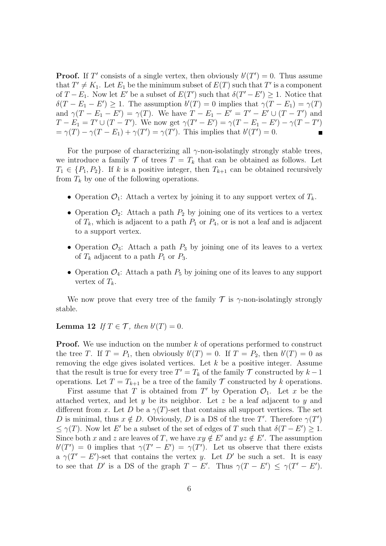**Proof.** If T' consists of a single vertex, then obviously  $b'(T') = 0$ . Thus assume that  $T' \neq K_1$ . Let  $E_1$  be the minimum subset of  $E(T)$  such that T' is a component of  $T - E_1$ . Now let E' be a subset of  $E(T')$  such that  $\delta(T' - E') \geq 1$ . Notice that  $\delta(T - E_1 - E') \geq 1$ . The assumption  $b'(T) = 0$  implies that  $\gamma(T - E_1) = \gamma(T)$ and  $\gamma(T - E_1 - E') = \gamma(T)$ . We have  $T - E_1 - E' = T' - E' \cup (T - T')$  and  $T - E_1 = T' \cup (T - T')$ . We now get  $\gamma(T' - E') = \gamma(T - E_1 - E') - \gamma(T - T')$  $=\gamma(T)-\gamma(T-E_1)+\gamma(T')=\gamma(T')$ . This implies that  $b'(T')=0$ . п

For the purpose of characterizing all  $\gamma$ -non-isolatingly strongly stable trees, we introduce a family  $\mathcal T$  of trees  $T = T_k$  that can be obtained as follows. Let  $T_1 \in \{P_1, P_2\}$ . If k is a positive integer, then  $T_{k+1}$  can be obtained recursively from  $T_k$  by one of the following operations.

- Operation  $\mathcal{O}_1$ : Attach a vertex by joining it to any support vertex of  $T_k$ .
- Operation  $\mathcal{O}_2$ : Attach a path  $P_2$  by joining one of its vertices to a vertex of  $T_k$ , which is adjacent to a path  $P_1$  or  $P_4$ , or is not a leaf and is adjacent to a support vertex.
- Operation  $\mathcal{O}_3$ : Attach a path  $P_3$  by joining one of its leaves to a vertex of  $T_k$  adjacent to a path  $P_1$  or  $P_3$ .
- Operation  $\mathcal{O}_4$ : Attach a path  $P_5$  by joining one of its leaves to any support vertex of  $T_k$ .

We now prove that every tree of the family  $\mathcal T$  is  $\gamma$ -non-isolatingly strongly stable.

**Lemma 12** *If*  $T \in \mathcal{T}$ *, then*  $b'(T) = 0$ *.* 

**Proof.** We use induction on the number k of operations performed to construct the tree T. If  $T = P_1$ , then obviously  $b'(T) = 0$ . If  $T = P_2$ , then  $b'(T) = 0$  as removing the edge gives isolated vertices. Let  $k$  be a positive integer. Assume that the result is true for every tree  $T' = T_k$  of the family  $\mathcal T$  constructed by  $k-1$ operations. Let  $T = T_{k+1}$  be a tree of the family  $T$  constructed by k operations.

First assume that T is obtained from T' by Operation  $\mathcal{O}_1$ . Let x be the attached vertex, and let y be its neighbor. Let z be a leaf adjacent to y and different from x. Let D be a  $\gamma(T)$ -set that contains all support vertices. The set D is minimal, thus  $x \notin D$ . Obviously, D is a DS of the tree T'. Therefore  $\gamma(T')$  $\leq \gamma(T)$ . Now let E' be a subset of the set of edges of T such that  $\delta(T - E') \geq 1$ . Since both x and z are leaves of T, we have  $xy \notin E'$  and  $yz \notin E'$ . The assumption  $b'(T') = 0$  implies that  $\gamma(T' - E') = \gamma(T')$ . Let us observe that there exists a  $\gamma(T'-E')$ -set that contains the vertex y. Let D' be such a set. It is easy to see that D' is a DS of the graph  $T - E'$ . Thus  $\gamma(T - E') \leq \gamma(T' - E')$ .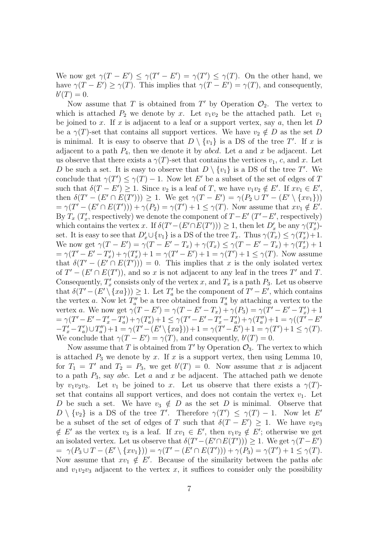We now get  $\gamma(T - E') \leq \gamma(T' - E') = \gamma(T') \leq \gamma(T)$ . On the other hand, we have  $\gamma(T - E') \geq \gamma(T)$ . This implies that  $\gamma(T - E') = \gamma(T)$ , and consequently,  $b'(T)=0.$ 

Now assume that T is obtained from T' by Operation  $\mathcal{O}_2$ . The vertex to which is attached  $P_2$  we denote by x. Let  $v_1v_2$  be the attached path. Let  $v_1$ be joined to x. If x is adjacent to a leaf or a support vertex, say  $a$ , then let  $D$ be a  $\gamma(T)$ -set that contains all support vertices. We have  $v_2 \notin D$  as the set D is minimal. It is easy to observe that  $D \setminus \{v_1\}$  is a DS of the tree T'. If x is adjacent to a path  $P_4$ , then we denote it by abcd. Let a and x be adjacent. Let us observe that there exists a  $\gamma(T)$ -set that contains the vertices  $v_1, c$ , and x. Let D be such a set. It is easy to observe that  $D \setminus \{v_1\}$  is a DS of the tree T'. We conclude that  $\gamma(T') \leq \gamma(T) - 1$ . Now let E' be a subset of the set of edges of T such that  $\delta(T - E') \geq 1$ . Since  $v_2$  is a leaf of T, we have  $v_1v_2 \notin E'$ . If  $xv_1 \in E'$ , then  $\delta(T' - (E' \cap E(T'))) \geq 1$ . We get  $\gamma(T - E') = \gamma(P_2 \cup T' - (E' \setminus \{xv_1\}))$  $=\gamma(T^{\prime}-(E^{\prime}\cap E(T^{\prime}))) + \gamma(P_2)=\gamma(T^{\prime})+1 \leq \gamma(T)$ . Now assume that  $xv_1 \notin E^{\prime}$ . By  $T_x(T'_x)$  $x'$ , respectively) we denote the component of  $T - E'$  ( $T' - E'$ , respectively) which contains the vertex x. If  $\delta(T' - (E' \cap E(T'))) \geq 1$ , then let  $D'_x$  be any  $\gamma(T'_x)$  $x^{\prime}$ )set. It is easy to see that  $D'_x \cup \{v_1\}$  is a DS of the tree  $T_x$ . Thus  $\gamma(\tilde{T}_x) \leq \gamma(T'_x)$  $x'$ ) + 1. We now get  $\gamma(T - E') = \gamma(T - E' - T_x) + \gamma(T_x) \leq \gamma(T - E' - T_x) + \gamma(T_x)$  $x' + 1$  $=\gamma(T'-E'-T'_x)$  $(x'_x) + \gamma (T'_x)$  $\gamma''_x$ ) + 1 =  $\gamma(T'-E')+1 = \gamma(T')+1 \leq \gamma(T)$ . Now assume that  $\delta(T' - (E' \cap E(T'))) = 0$ . This implies that x is the only isolated vertex of  $T' - (E' \cap E(T'))$ , and so x is not adjacent to any leaf in the trees T' and T. Consequently,  $T'_x$ " consists only of the vertex x, and  $T_x$  is a path  $P_3$ . Let us observe that  $\delta(T' - (E' \setminus \{xa\})) \geq 1$ . Let  $T'_a$  be the component of  $T' - E'$ , which contains the vertex a. Now let  $T''_a$  be a tree obtained from  $T'_a$  by attaching a vertex to the vertex a. We now get  $\gamma(T - E') = \gamma(T - E' - T_x) + \gamma(P_3) = \gamma(T' - E' - T'_x)$  $x'$ ) + 1  $=\gamma(T'-E'-T'_x-T'_a)$  $\sigma_a^{\prime}) + \gamma(T_a^{\prime})$  $\gamma_a'' + 1 \leq \gamma (T' - E' - T'_x - T'_a)$  $\alpha_a^{\prime})+\gamma(T_a^{\prime\prime}$  $\binom{m}{a}+1 = \gamma((\vec{T'} - E')$  $-T'_x-T'_a$  $\binom{a'}{a} \cup T_a''$  $\gamma_{a}^{''})+1=\gamma(T'-(E'\setminus\{xa\}))+1=\gamma(T'-E')+1=\gamma(T')+1\leq \gamma(T).$ We conclude that  $\gamma(T - E') = \gamma(T)$ , and consequently,  $b'(T) = 0$ .

Now assume that T is obtained from T' by Operation  $\mathcal{O}_3$ . The vertex to which is attached  $P_3$  we denote by x. If x is a support vertex, then using Lemma 10, for  $T_1 = T'$  and  $T_2 = P_3$ , we get  $b'(T) = 0$ . Now assume that x is adjacent to a path  $P_3$ , say abc. Let a and x be adjacent. The attached path we denote by  $v_1v_2v_3$ . Let  $v_1$  be joined to x. Let us observe that there exists a  $\gamma(T)$ set that contains all support vertices, and does not contain the vertex  $v_1$ . Let D be such a set. We have  $v_3 \notin D$  as the set D is minimal. Observe that  $D \setminus \{v_2\}$  is a DS of the tree T'. Therefore  $\gamma(T') \leq \gamma(T) - 1$ . Now let E' be a subset of the set of edges of T such that  $\delta(T - E') \geq 1$ . We have  $v_2v_3$ ∉ E' as the vertex  $v_3$  is a leaf. If  $xv_1 \in E'$ , then  $v_1v_2 \notin E'$ ; otherwise we get an isolated vertex. Let us observe that  $\delta(T' - (E' \cap E(T'))) \geq 1$ . We get  $\gamma(T - E')$  $= \gamma(P_3 \cup T - (E' \setminus \{xv_1\})) = \gamma(T' - (E' \cap E(T'))) + \gamma(P_3) = \gamma(T') + 1 \leq \gamma(T).$ Now assume that  $xv_1 \notin E'$ . Because of the similarity between the paths abc and  $v_1v_2v_3$  adjacent to the vertex x, it suffices to consider only the possibility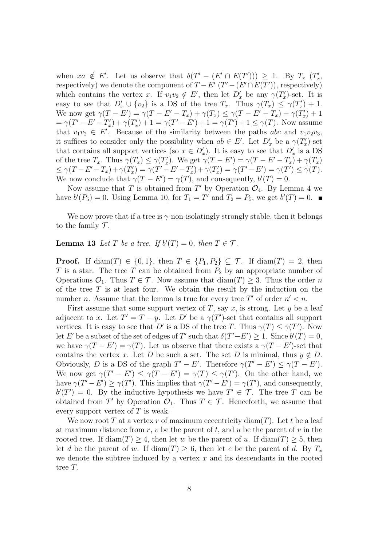when  $xa \notin E'$ . Let us observe that  $\delta(T' - (E' \cap E(T'))) \geq 1$ . By  $T_x$   $(T'_x)$ ,,<br>x, respectively) we denote the component of  $T - E'$   $(T' - (E' \cap E(T'))$ , respectively) which contains the vertex x. If  $v_1v_2 \notin E'$ , then let  $D'_x$  be any  $\gamma(T'_x)$  $x$ )-set. It is easy to see that  $D'_x \cup \{v_2\}$  is a DS of the tree  $T_x$ . Thus  $\gamma(T_x) \leq \gamma(T'_x)$  $x'$ ) + 1. We now get  $\gamma(T - E') = \gamma(T - E' - T_x) + \gamma(T_x) \leq \gamma(T - E' - T_x) + \gamma(T'_x)$  $_{x}^{\prime})+1$  $= \gamma(T' - E' - T'_x)$  $(x'_x) + \gamma (T'_x)$  $\gamma''_x$ ) + 1 =  $\gamma(T'-E')+1 = \gamma(T')+1 \leq \gamma(T)$ . Now assume that  $v_1v_2 \in E'$ . Because of the similarity between the paths abc and  $v_1v_2v_3$ , it suffices to consider only the possibility when  $ab \in E'$ . Let  $D'_x$  be a  $\gamma(T'_x)$  $x'$ )-set that contains all support vertices (so  $x \in D'_x$ ). It is easy to see that  $D'_x$  is a DS of the tree  $T_x$ . Thus  $\gamma(T_x) \leq \gamma(T'_x)$ ",... We get  $\gamma(T - E') = \gamma(T - E' - T_x) + \gamma(T_x)$  $\leq \gamma(T - E' - T_x) + \gamma(T'_x)$  $\gamma''_x$ ) =  $\gamma(T'-E'-T'_x)$  $\tilde{\psi}_x$ ) +  $\gamma(T'_x)$  $\gamma''_x$ ) =  $\gamma(T'-E') = \gamma(T') \leq \gamma(T).$ We now conclude that  $\gamma(T - E') = \gamma(T)$ , and consequently,  $b'(T) = 0$ .

Now assume that T is obtained from T' by Operation  $\mathcal{O}_4$ . By Lemma 4 we have  $b'(P_5) = 0$ . Using Lemma 10, for  $T_1 = T'$  and  $T_2 = P_5$ , we get  $b'(T) = 0$ .

We now prove that if a tree is  $\gamma$ -non-isolatingly strongly stable, then it belongs to the family  $\mathcal T$ .

**Lemma 13** *Let*  $T$  *be a tree. If*  $b'(T) = 0$ *, then*  $T \in \mathcal{T}$ *.* 

**Proof.** If diam(T)  $\in \{0, 1\}$ , then  $T \in \{P_1, P_2\} \subseteq T$ . If diam(T) = 2, then T is a star. The tree T can be obtained from  $P_2$  by an appropriate number of Operations  $\mathcal{O}_1$ . Thus  $T \in \mathcal{T}$ . Now assume that  $\text{diam}(T) \geq 3$ . Thus the order n of the tree  $T$  is at least four. We obtain the result by the induction on the number *n*. Assume that the lemma is true for every tree T' of order  $n' < n$ .

First assume that some support vertex of T, say x, is strong. Let y be a leaf adjacent to x. Let  $T' = T - y$ . Let D' be a  $\gamma(T')$ -set that contains all support vertices. It is easy to see that D' is a DS of the tree T. Thus  $\gamma(T) \leq \gamma(T')$ . Now let E' be a subset of the set of edges of T' such that  $\delta(T'-E') \geq 1$ . Since  $b'(T) = 0$ , we have  $\gamma(T - E') = \gamma(T)$ . Let us observe that there exists a  $\gamma(T - E')$ -set that contains the vertex x. Let D be such a set. The set D is minimal, thus  $y \notin D$ . Obviously, D is a DS of the graph  $T' - E'$ . Therefore  $\gamma(T' - E') \leq \gamma(T - E')$ . We now get  $\gamma(T'-E') \leq \gamma(T-E') = \gamma(T) \leq \gamma(T')$ . On the other hand, we have  $\gamma(T'-E') \geq \gamma(T')$ . This implies that  $\gamma(T'-E') = \gamma(T')$ , and consequently,  $b(T') = 0$ . By the inductive hypothesis we have  $T' \in \mathcal{T}$ . The tree T can be obtained from T' by Operation  $\mathcal{O}_1$ . Thus  $T \in \mathcal{T}$ . Henceforth, we assume that every support vertex of  $T$  is weak.

We now root T at a vertex r of maximum eccentricity diam(T). Let t be a leaf at maximum distance from r, v be the parent of t, and u be the parent of v in the rooted tree. If  $\text{diam}(T) \geq 4$ , then let w be the parent of u. If  $\text{diam}(T) \geq 5$ , then let d be the parent of w. If  $\text{diam}(T) \geq 6$ , then let e be the parent of d. By  $T_x$ we denote the subtree induced by a vertex  $x$  and its descendants in the rooted tree T.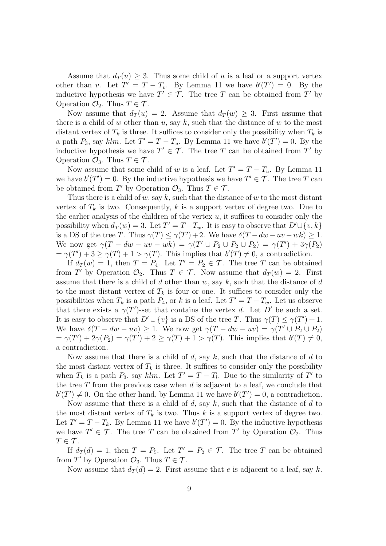Assume that  $d_T(u) \geq 3$ . Thus some child of u is a leaf or a support vertex other than v. Let  $T' = T - T_v$ . By Lemma 11 we have  $b'(T') = 0$ . By the inductive hypothesis we have  $T' \in \mathcal{T}$ . The tree T can be obtained from T' by Operation  $\mathcal{O}_2$ . Thus  $T \in \mathcal{T}$ .

Now assume that  $d_T(u) = 2$ . Assume that  $d_T(w) \geq 3$ . First assume that there is a child of w other than u, say  $k$ , such that the distance of w to the most distant vertex of  $T_k$  is three. It suffices to consider only the possibility when  $T_k$  is a path  $P_3$ , say klm. Let  $T' = T - T_u$ . By Lemma 11 we have  $b'(T') = 0$ . By the inductive hypothesis we have  $T' \in \mathcal{T}$ . The tree T can be obtained from T' by Operation  $\mathcal{O}_3$ . Thus  $T \in \mathcal{T}$ .

Now assume that some child of w is a leaf. Let  $T' = T - T_u$ . By Lemma 11 we have  $b'(T') = 0$ . By the inductive hypothesis we have  $T' \in \mathcal{T}$ . The tree T can be obtained from T' by Operation  $\mathcal{O}_3$ . Thus  $T \in \mathcal{T}$ .

Thus there is a child of w, say k, such that the distance of w to the most distant vertex of  $T_k$  is two. Consequently, k is a support vertex of degree two. Due to the earlier analysis of the children of the vertex  $u$ , it suffices to consider only the possibility when  $d_T(w) = 3$ . Let  $T' = T - T_w$ . It is easy to observe that  $D' \cup \{v, k\}$ is a DS of the tree T. Thus  $\gamma(T) \leq \gamma(T') + 2$ . We have  $\delta(T - dw - uv - wk) \geq 1$ . We now get  $\gamma(T - dw - uv - wk) = \gamma(T' \cup P_2 \cup P_2 \cup P_2) = \gamma(T') + 3\gamma(P_2)$  $=\gamma(T') + 3 \geq \gamma(T) + 1 > \gamma(T)$ . This implies that  $b'(T) \neq 0$ , a contradiction.

If  $d_T(w) = 1$ , then  $T = P_4$ . Let  $T' = P_2 \in \mathcal{T}$ . The tree T can be obtained from T' by Operation  $\mathcal{O}_2$ . Thus  $T \in \mathcal{T}$ . Now assume that  $d_T(w) = 2$ . First assume that there is a child of d other than  $w$ , say  $k$ , such that the distance of d to the most distant vertex of  $T_k$  is four or one. It suffices to consider only the possibilities when  $T_k$  is a path  $P_4$ , or k is a leaf. Let  $T' = T - T_w$ . Let us observe that there exists a  $\gamma(T')$ -set that contains the vertex d. Let D' be such a set. It is easy to observe that  $D' \cup \{v\}$  is a DS of the tree T. Thus  $\gamma(T) \leq \gamma(T') + 1$ . We have  $\delta(T - dw - uv) \geq 1$ . We now get  $\gamma(T - dw - uv) = \gamma(T' \cup P_2 \cup P_2)$  $=\gamma(T') + 2\gamma(P_2) = \gamma(T') + 2 \geq \gamma(T) + 1 > \gamma(T)$ . This implies that  $b'(T) \neq 0$ , a contradiction.

Now assume that there is a child of  $d$ , say  $k$ , such that the distance of  $d$  to the most distant vertex of  $T_k$  is three. It suffices to consider only the possibility when  $T_k$  is a path  $P_3$ , say  $klm$ . Let  $T' = T - T_l$ . Due to the similarity of  $T'$  to the tree  $T$  from the previous case when  $d$  is adjacent to a leaf, we conclude that  $b'(T') \neq 0$ . On the other hand, by Lemma 11 we have  $b'(T') = 0$ , a contradiction.

Now assume that there is a child of  $d$ , say  $k$ , such that the distance of  $d$  to the most distant vertex of  $T_k$  is two. Thus k is a support vertex of degree two. Let  $T' = T - T_k$ . By Lemma 11 we have  $b'(T') = 0$ . By the inductive hypothesis we have  $T' \in \mathcal{T}$ . The tree T can be obtained from T' by Operation  $\mathcal{O}_2$ . Thus  $T \in \mathcal{T}$ .

If  $d_T(d) = 1$ , then  $T = P_5$ . Let  $T' = P_2 \in \mathcal{T}$ . The tree T can be obtained from T' by Operation  $\mathcal{O}_3$ . Thus  $T \in \mathcal{T}$ .

Now assume that  $d_T(d) = 2$ . First assume that e is adjacent to a leaf, say k.